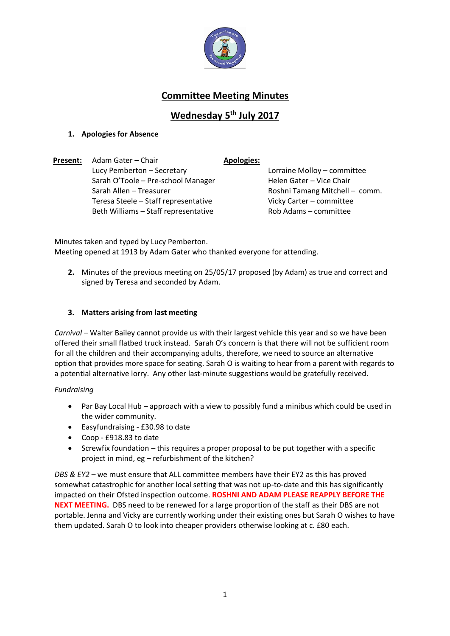

# **Committee Meeting Minutes**

# **Wednesday 5 th July 2017**

# **1. Apologies for Absence**

**Present:** Adam Gater – Chair **Apologies:** Lucy Pemberton – Secretary Lorraine Molloy – committee Sarah O'Toole – Pre-school Manager Helen Gater – Vice Chair Sarah Allen – Treasurer Roshni Tamang Mitchell – comm. Teresa Steele – Staff representative Beth Williams – Staff representative

Vicky Carter – committee Rob Adams – committee

Minutes taken and typed by Lucy Pemberton. Meeting opened at 1913 by Adam Gater who thanked everyone for attending.

**2.** Minutes of the previous meeting on 25/05/17 proposed (by Adam) as true and correct and signed by Teresa and seconded by Adam.

# **3. Matters arising from last meeting**

*Carnival –* Walter Bailey cannot provide us with their largest vehicle this year and so we have been offered their small flatbed truck instead. Sarah O's concern is that there will not be sufficient room for all the children and their accompanying adults, therefore, we need to source an alternative option that provides more space for seating. Sarah O is waiting to hear from a parent with regards to a potential alternative lorry. Any other last-minute suggestions would be gratefully received.

## *Fundraising*

- Par Bay Local Hub approach with a view to possibly fund a minibus which could be used in the wider community.
- Easyfundraising £30.98 to date
- Coop £918.83 to date
- Screwfix foundation this requires a proper proposal to be put together with a specific project in mind, eg – refurbishment of the kitchen?

*DBS & EY2 –* we must ensure that ALL committee members have their EY2 as this has proved somewhat catastrophic for another local setting that was not up-to-date and this has significantly impacted on their Ofsted inspection outcome. **ROSHNI AND ADAM PLEASE REAPPLY BEFORE THE NEXT MEETING.** DBS need to be renewed for a large proportion of the staff as their DBS are not portable. Jenna and Vicky are currently working under their existing ones but Sarah O wishes to have them updated. Sarah O to look into cheaper providers otherwise looking at c. £80 each.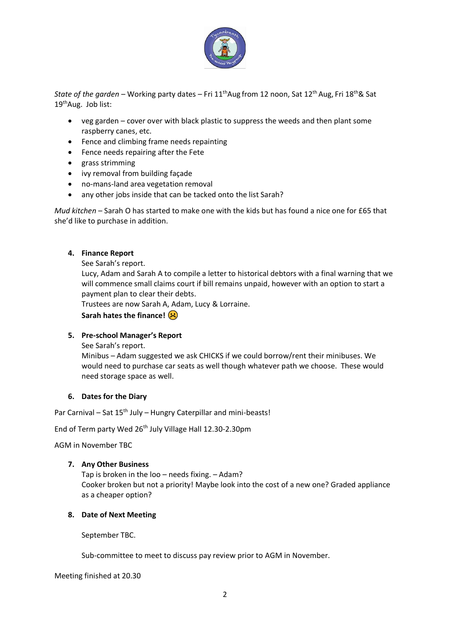

*State of the garden* – Working party dates – Fri 11thAug from 12 noon, Sat 12th Aug, Fri 18th& Sat 19thAug. Job list:

- veg garden cover over with black plastic to suppress the weeds and then plant some raspberry canes, etc.
- Fence and climbing frame needs repainting
- Fence needs repairing after the Fete
- grass strimming
- ivy removal from building façade
- no-mans-land area vegetation removal
- any other jobs inside that can be tacked onto the list Sarah?

*Mud kitchen* – Sarah O has started to make one with the kids but has found a nice one for £65 that she'd like to purchase in addition.

### **4. Finance Report**

See Sarah's report.

Lucy, Adam and Sarah A to compile a letter to historical debtors with a final warning that we will commence small claims court if bill remains unpaid, however with an option to start a payment plan to clear their debts.

Trustees are now Sarah A, Adam, Lucy & Lorraine.

**Sarah hates the finance!** 

## **5. Pre-school Manager's Report**

See Sarah's report.

Minibus – Adam suggested we ask CHICKS if we could borrow/rent their minibuses. We would need to purchase car seats as well though whatever path we choose. These would need storage space as well.

#### **6. Dates for the Diary**

Par Carnival – Sat 15<sup>th</sup> July – Hungry Caterpillar and mini-beasts!

End of Term party Wed 26<sup>th</sup> July Village Hall 12.30-2.30pm

AGM in November TBC

#### **7. Any Other Business**

Tap is broken in the loo – needs fixing. – Adam? Cooker broken but not a priority! Maybe look into the cost of a new one? Graded appliance as a cheaper option?

#### **8. Date of Next Meeting**

September TBC.

Sub-committee to meet to discuss pay review prior to AGM in November.

#### Meeting finished at 20.30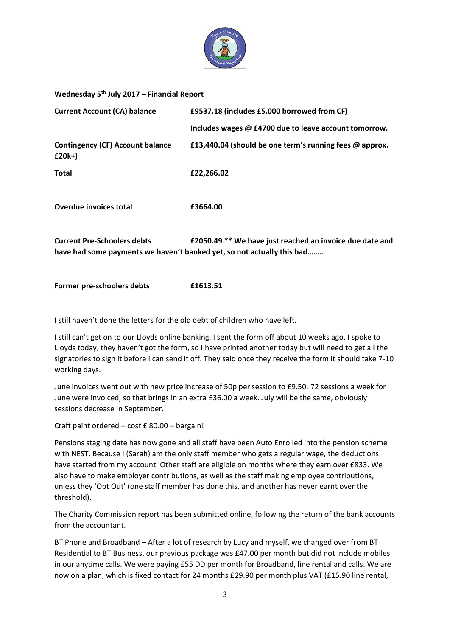

### **Wednesday 5th July 2017 – Financial Report**

| <b>Current Account (CA) balance</b>               | £9537.18 (includes £5,000 borrowed from CF)                                                                                        |
|---------------------------------------------------|------------------------------------------------------------------------------------------------------------------------------------|
|                                                   | Includes wages @ £4700 due to leave account tomorrow.                                                                              |
| <b>Contingency (CF) Account balance</b><br>£20k+) | £13,440.04 (should be one term's running fees @ approx.                                                                            |
| Total                                             | £22,266.02                                                                                                                         |
| <b>Overdue invoices total</b>                     | £3664.00                                                                                                                           |
| <b>Current Pre-Schoolers debts</b>                | £2050.49 ** We have just reached an invoice due date and<br>have had some payments we haven't banked yet, so not actually this bad |

**Former pre-schoolers debts £1613.51**

I still haven't done the letters for the old debt of children who have left.

I still can't get on to our Lloyds online banking. I sent the form off about 10 weeks ago. I spoke to Lloyds today, they haven't got the form, so I have printed another today but will need to get all the signatories to sign it before I can send it off. They said once they receive the form it should take 7-10 working days.

June invoices went out with new price increase of 50p per session to £9.50. 72 sessions a week for June were invoiced, so that brings in an extra £36.00 a week. July will be the same, obviously sessions decrease in September.

Craft paint ordered – cost £ 80.00 – bargain!

Pensions staging date has now gone and all staff have been Auto Enrolled into the pension scheme with NEST. Because I (Sarah) am the only staff member who gets a regular wage, the deductions have started from my account. Other staff are eligible on months where they earn over £833. We also have to make employer contributions, as well as the staff making employee contributions, unless they 'Opt Out' (one staff member has done this, and another has never earnt over the threshold).

The Charity Commission report has been submitted online, following the return of the bank accounts from the accountant.

BT Phone and Broadband – After a lot of research by Lucy and myself, we changed over from BT Residential to BT Business, our previous package was £47.00 per month but did not include mobiles in our anytime calls. We were paying £55 DD per month for Broadband, line rental and calls. We are now on a plan, which is fixed contact for 24 months £29.90 per month plus VAT (£15.90 line rental,